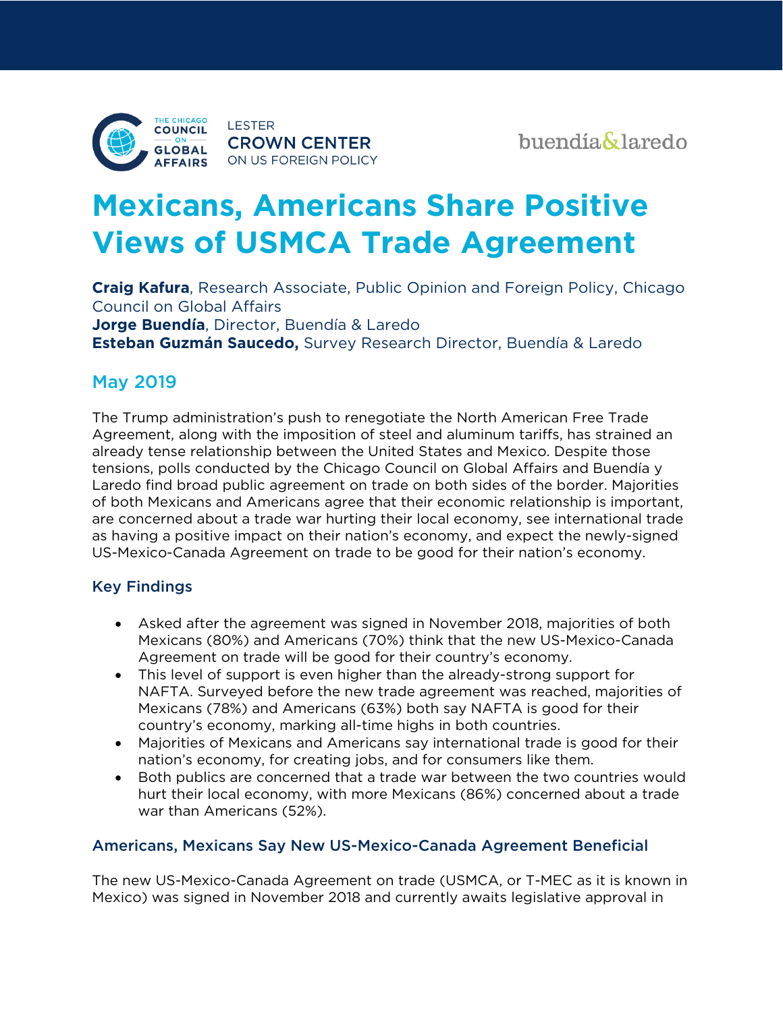

# **Mexicans, Americans Share Positive Views of USMCA Trade Agreement**

**Craig Kafura**, Research Associate, Public Opinion and Foreign Policy, Chicago Council on Global Affairs **Jorge Buendía**, Director, Buendía & Laredo **Esteban Guzmán Saucedo,** Survey Research Director, Buendía & Laredo

# May 2019

The Trump administration's push to renegotiate the North American Free Trade Agreement, along with the imposition of steel and aluminum tariffs, has strained an already tense relationship between the United States and Mexico. Despite those tensions, polls conducted by the Chicago Council on Global Affairs and Buendía y Laredo find broad public agreement on trade on both sides of the border. Majorities of both Mexicans and Americans agree that their economic relationship is important, are concerned about a trade war hurting their local economy, see international trade as having a positive impact on their nation's economy, and expect the newly-signed US-Mexico-Canada Agreement on trade to be good for their nation's economy.

# Key Findings

- Asked after the agreement was signed in November 2018, majorities of both Mexicans (80%) and Americans (70%) think that the new US-Mexico-Canada Agreement on trade will be good for their country's economy.
- This level of support is even higher than the already-strong support for NAFTA. Surveyed before the new trade agreement was reached, majorities of Mexicans (78%) and Americans (63%) both say NAFTA is good for their country's economy, marking all-time highs in both countries.
- Majorities of Mexicans and Americans say international trade is good for their nation's economy, for creating jobs, and for consumers like them.
- Both publics are concerned that a trade war between the two countries would hurt their local economy, with more Mexicans (86%) concerned about a trade war than Americans (52%).

# Americans, Mexicans Say New US-Mexico-Canada Agreement Beneficial

The new US-Mexico-Canada Agreement on trade (USMCA, or T-MEC as it is known in Mexico) was signed in November 2018 and currently awaits legislative approval in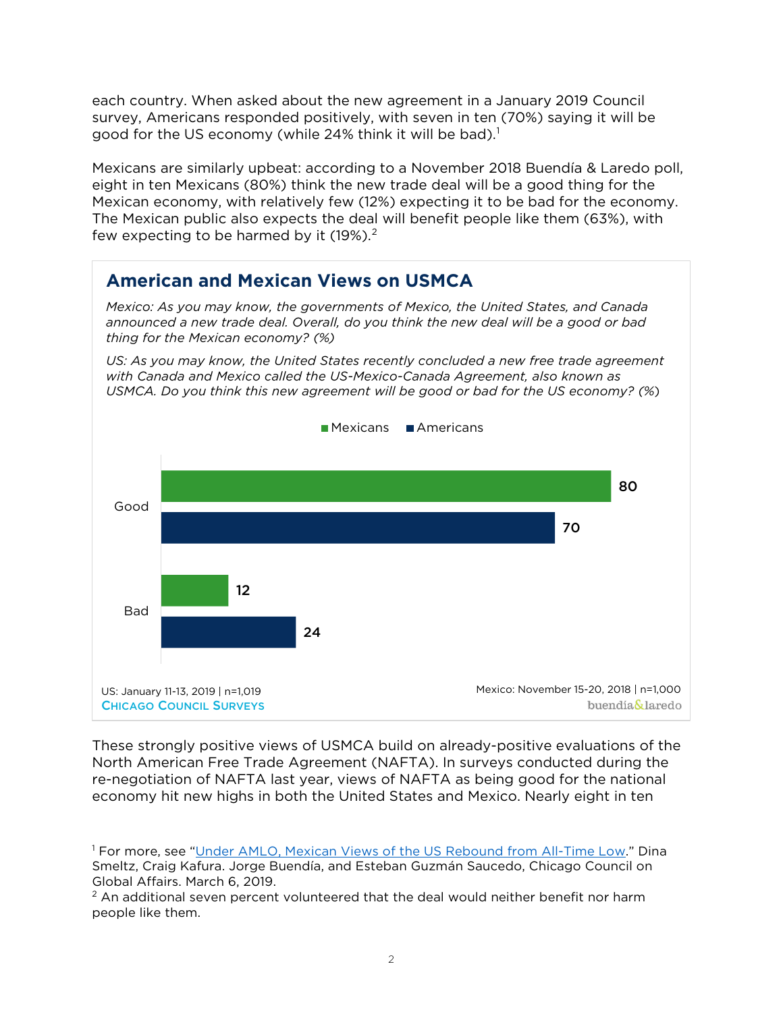each country. When asked about the new agreement in a January 2019 Council survey, Americans responded positively, with seven in ten (70%) saying it will be good for the US economy (while 24% think it will be bad).<sup>1</sup>

Mexicans are similarly upbeat: according to a November 2018 Buendía & Laredo poll, eight in ten Mexicans (80%) think the new trade deal will be a good thing for the Mexican economy, with relatively few (12%) expecting it to be bad for the economy. The Mexican public also expects the deal will benefit people like them (63%), with few expecting to be harmed by it  $(19\%)$ .<sup>[2](#page-1-1)</sup>



These strongly positive views of USMCA build on already-positive evaluations of the North American Free Trade Agreement (NAFTA). In surveys conducted during the re-negotiation of NAFTA last year, views of NAFTA as being good for the national economy hit new highs in both the United States and Mexico. Nearly eight in ten

<span id="page-1-0"></span><sup>1</sup> For more, see ["Under AMLO, Mexican Views of the US Rebound from All-Time Low."](https://www.thechicagocouncil.org/publication/under-amlo-mexican-views-us-rebound-all-time-low) Dina Smeltz, Craig Kafura. Jorge Buendía, and Esteban Guzmán Saucedo, Chicago Council on Global Affairs. March 6, 2019.

<span id="page-1-1"></span> $2$  An additional seven percent volunteered that the deal would neither benefit nor harm people like them.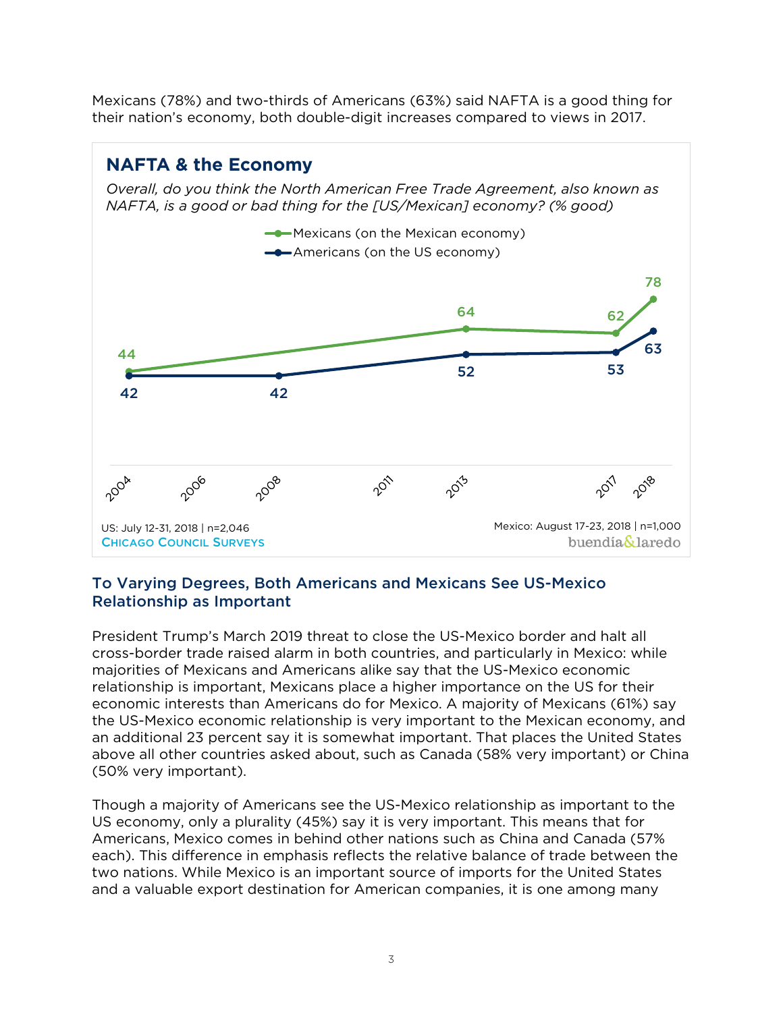Mexicans (78%) and two-thirds of Americans (63%) said NAFTA is a good thing for their nation's economy, both double-digit increases compared to views in 2017.

# **NAFTA & the Economy** *Overall, do you think the North American Free Trade Agreement, also known as NAFTA, is a good or bad thing for the [US/Mexican] economy? (% good)* **-**Mexicans (on the Mexican economy) **-**Americans (on the US economy) 78 64 62 63 44 52 53 42 42 2008 2006 2018 2004 2011 2013 2011 Mexico: August 17-23, 2018 | n=1,000US: July 12-31, 2018 | n=2,046 CHICAGO COUNCIL SURVEYS buendía&laredo

# To Varying Degrees, Both Americans and Mexicans See US-Mexico Relationship as Important

President Trump's March 2019 threat to close the US-Mexico border and halt all cross-border trade raised alarm in both countries, and particularly in Mexico: while majorities of Mexicans and Americans alike say that the US-Mexico economic relationship is important, Mexicans place a higher importance on the US for their economic interests than Americans do for Mexico. A majority of Mexicans (61%) say the US-Mexico economic relationship is very important to the Mexican economy, and an additional 23 percent say it is somewhat important. That places the United States above all other countries asked about, such as Canada (58% very important) or China (50% very important).

Though a majority of Americans see the US-Mexico relationship as important to the US economy, only a plurality (45%) say it is very important. This means that for Americans, Mexico comes in behind other nations such as China and Canada (57% each). This difference in emphasis reflects the relative balance of trade between the two nations. While Mexico is an important source of imports for the United States and a valuable export destination for American companies, it is one among many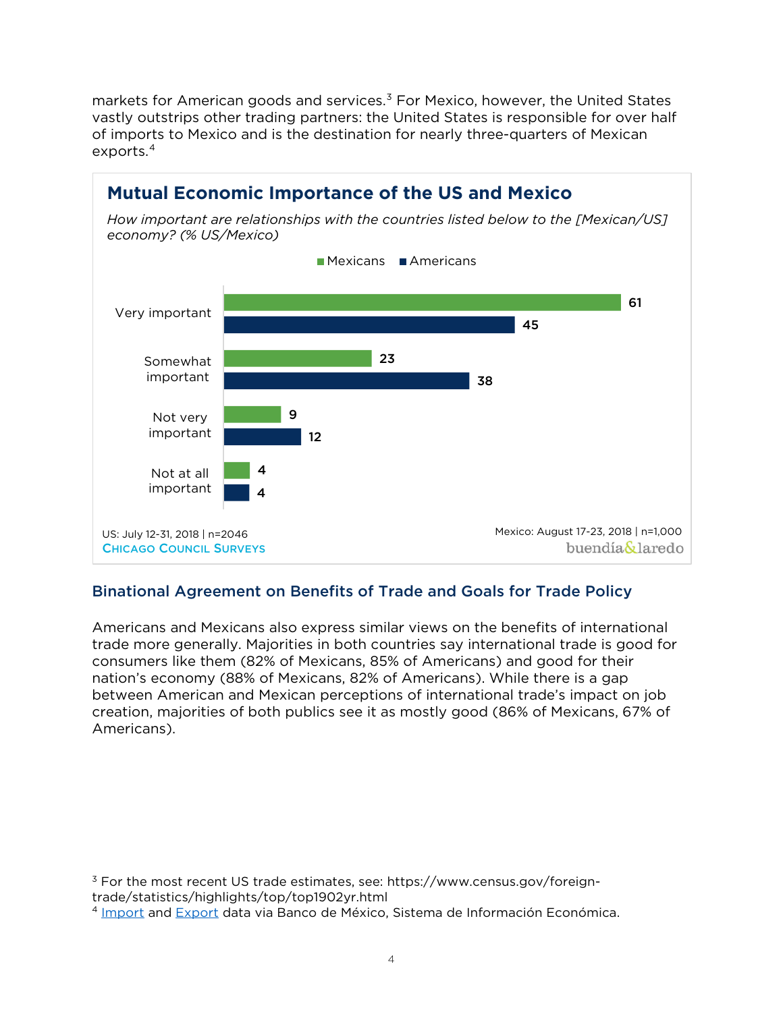markets for American goods and services.<sup>[3](#page-3-0)</sup> For Mexico, however, the United States vastly outstrips other trading partners: the United States is responsible for over half of imports to Mexico and is the destination for nearly three-quarters of Mexican exports.[4](#page-3-1)



# Binational Agreement on Benefits of Trade and Goals for Trade Policy

Americans and Mexicans also express similar views on the benefits of international trade more generally. Majorities in both countries say international trade is good for consumers like them (82% of Mexicans, 85% of Americans) and good for their nation's economy (88% of Mexicans, 82% of Americans). While there is a gap between American and Mexican perceptions of international trade's impact on job creation, majorities of both publics see it as mostly good (86% of Mexicans, 67% of Americans).

<span id="page-3-0"></span><sup>3</sup> For the most recent US trade estimates, see: https://www.census.gov/foreigntrade/statistics/highlights/top/top1902yr.html

<span id="page-3-1"></span><sup>4</sup> [Import](http://www.banxico.org.mx/SieInternet/consultarDirectorioInternetAction.do?sector=1&accion=consultarCuadroAnalitico&idCuadro=CA6&locale=es) and [Export](http://www.banxico.org.mx/SieInternet/consultarDirectorioInternetAction.do?sector=1&accion=consultarCuadroAnalitico&idCuadro=CA7&locale=es) data via Banco de México, Sistema de Información Económica.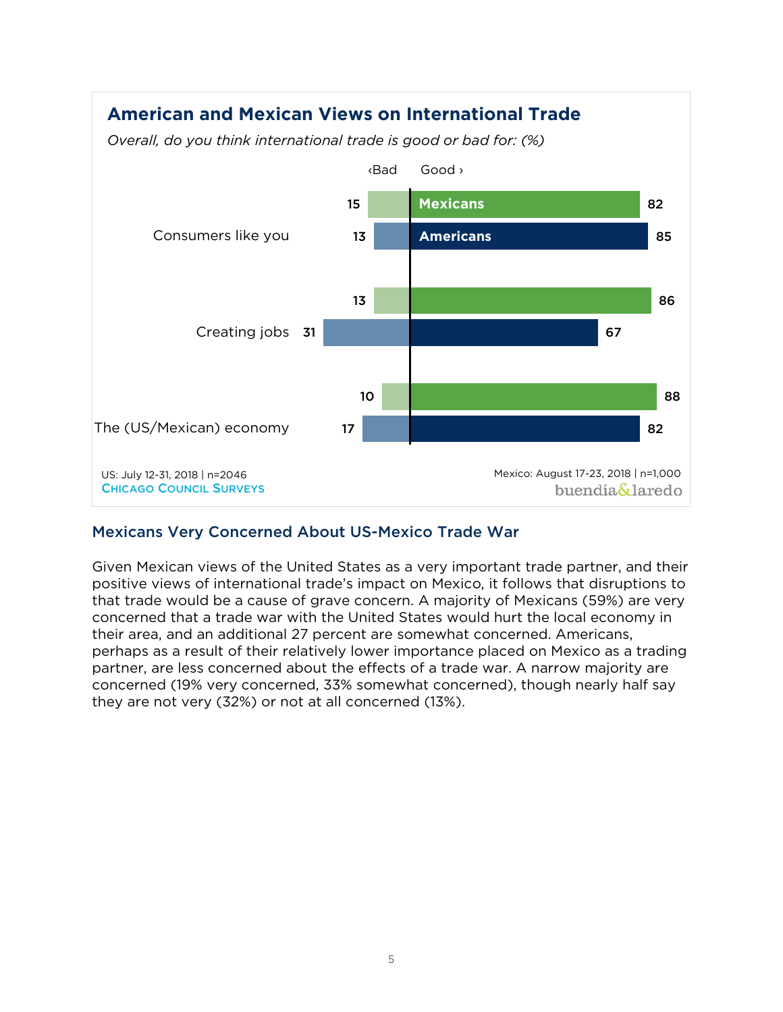

# Mexicans Very Concerned About US-Mexico Trade War

Given Mexican views of the United States as a very important trade partner, and their positive views of international trade's impact on Mexico, it follows that disruptions to that trade would be a cause of grave concern. A majority of Mexicans (59%) are very concerned that a trade war with the United States would hurt the local economy in their area, and an additional 27 percent are somewhat concerned. Americans, perhaps as a result of their relatively lower importance placed on Mexico as a trading partner, are less concerned about the effects of a trade war. A narrow majority are concerned (19% very concerned, 33% somewhat concerned), though nearly half say they are not very (32%) or not at all concerned (13%).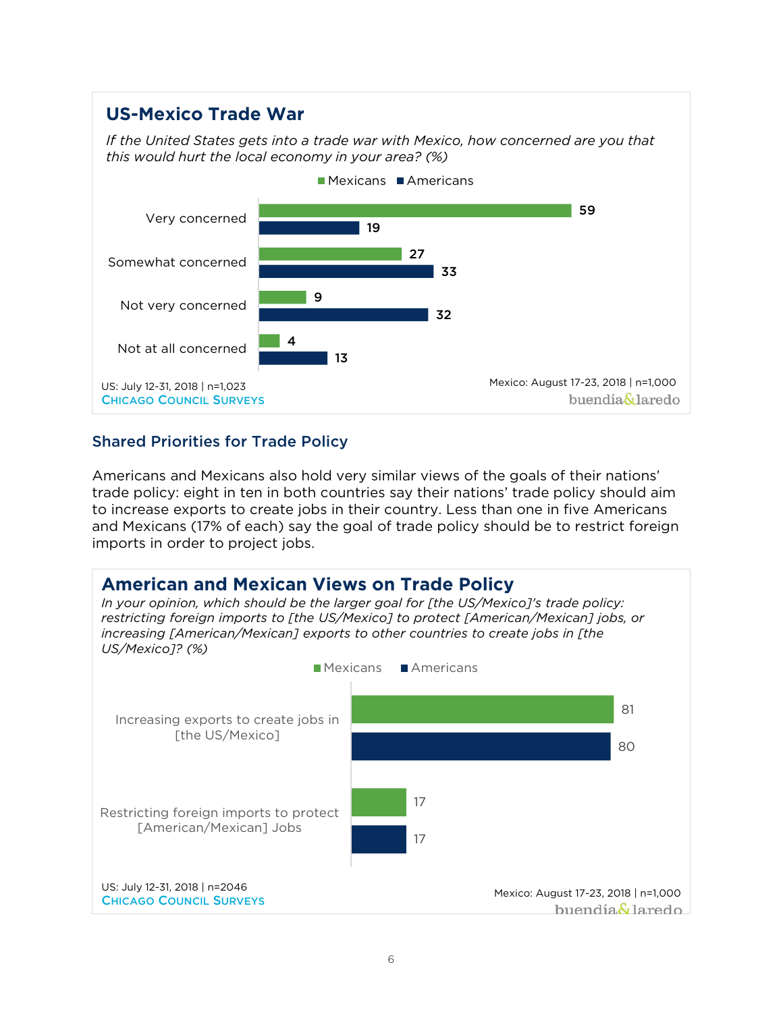#### **US-Mexico Trade War** *If the United States gets into a trade war with Mexico, how concerned are you that this would hurt the local economy in your area? (%)*  $M$ Mexicans  $M$ Americans 59 Very concerned 19  $\overline{27}$ Somewhat concerned 33 9 Not very concerned 32 4 Not at all concerned | 13 Mexico: August 17-23, 2018 | n=1,000 US: July 12-31, 2018 | n=1,023 buendía&laredo CHICAGO COUNCIL SURVEYS

# Shared Priorities for Trade Policy

Americans and Mexicans also hold very similar views of the goals of their nations' trade policy: eight in ten in both countries say their nations' trade policy should aim to increase exports to create jobs in their country. Less than one in five Americans and Mexicans (17% of each) say the goal of trade policy should be to restrict foreign imports in order to project jobs.

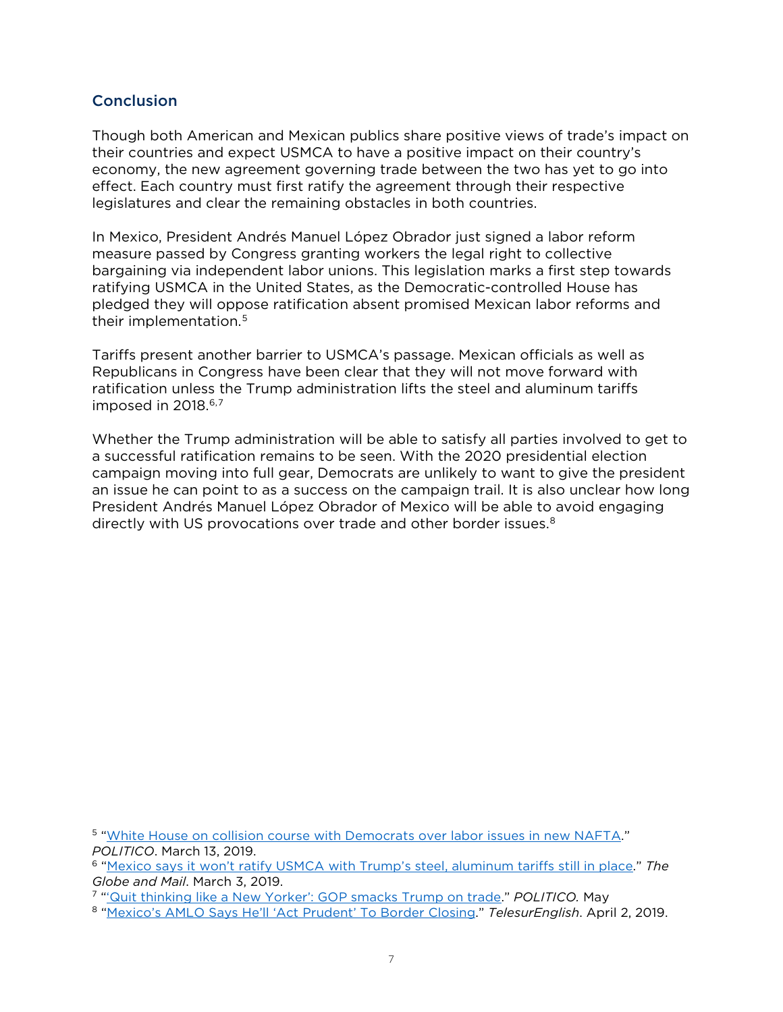## **Conclusion**

Though both American and Mexican publics share positive views of trade's impact on their countries and expect USMCA to have a positive impact on their country's economy, the new agreement governing trade between the two has yet to go into effect. Each country must first ratify the agreement through their respective legislatures and clear the remaining obstacles in both countries.

In Mexico, President Andrés Manuel López Obrador just signed a labor reform measure passed by Congress granting workers the legal right to collective bargaining via independent labor unions. This legislation marks a first step towards ratifying USMCA in the United States, as the Democratic-controlled House has pledged they will oppose ratification absent promised Mexican labor reforms and their implementation. [5](#page-6-0)

Tariffs present another barrier to USMCA's passage. Mexican officials as well as Republicans in Congress have been clear that they will not move forward with ratification unless the Trump administration lifts the steel and aluminum tariffs imposed in 2018.<sup>[6](#page-6-1),[7](#page-6-2)</sup>

Whether the Trump administration will be able to satisfy all parties involved to get to a successful ratification remains to be seen. With the 2020 presidential election campaign moving into full gear, Democrats are unlikely to want to give the president an issue he can point to as a success on the campaign trail. It is also unclear how long President Andrés Manuel López Obrador of Mexico will be able to avoid engaging directly with US provocations over trade and other border issues.<sup>[8](#page-6-3)</sup>

<span id="page-6-0"></span><sup>5</sup> ["White House on collision course with Democrats over labor issues in new NAFTA.](https://www.politico.com/story/2019/03/13/trump-nafta-democrats-1268480)" *POLITICO*. March 13, 2019.

<span id="page-6-1"></span><sup>6</sup> ["Mexico says it won't ratify USMCA with Trump's steel, aluminum tariffs still in place.](https://www.theglobeandmail.com/politics/article-mexico-says-it-wont-ratify-usmca-with-trumps-steel-aluminum-tariffs/)" *The Globe and Mail*. March 3, 2019.

<span id="page-6-2"></span><sup>7</sup> ["'Quit thinking like a New Yorker': GOP smacks Trump on trade.](https://www.politico.com/story/2019/05/02/trump-trade-usmca-1299984)" *POLITICO.* May

<span id="page-6-3"></span><sup>8</sup> ["Mexico's AMLO Says He'll 'Act Prudent' To Border Closing.](https://www.telesurenglish.net/news/Mexicos-AMLO-Says-Hell-Act-Prudent-To-Border-Closing-20190402-0006.html)" *TelesurEnglish*. April 2, 2019.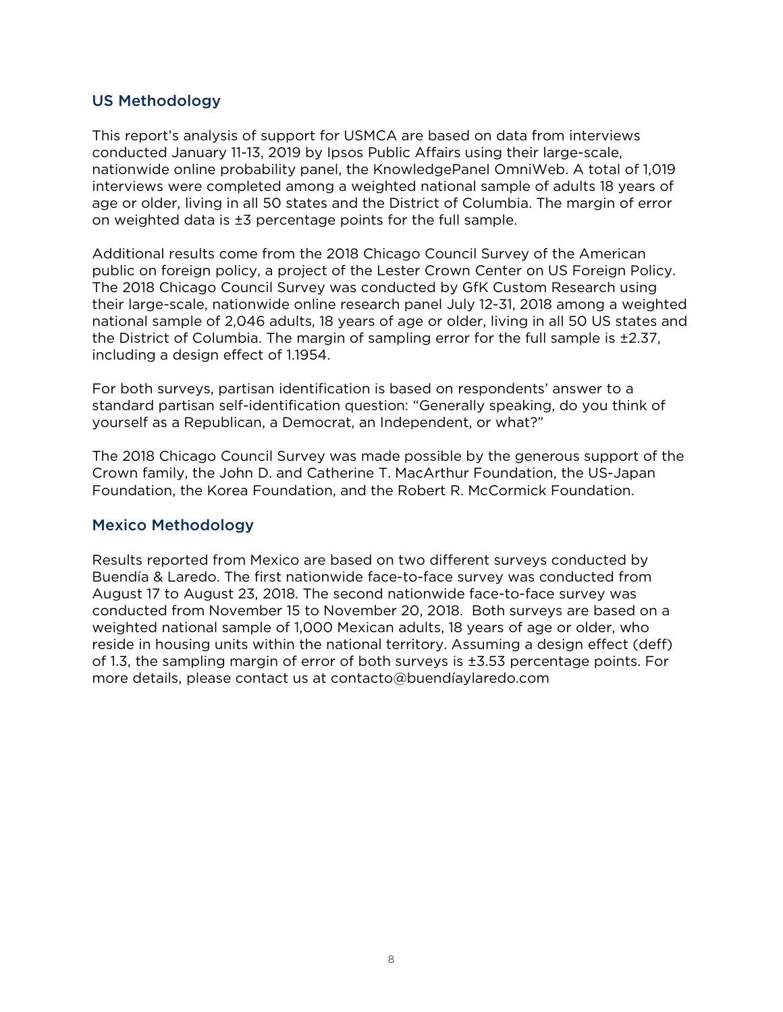# US Methodology

This report's analysis of support for USMCA are based on data from interviews conducted January 11-13, 2019 by Ipsos Public Affairs using their large-scale, nationwide online probability panel, the KnowledgePanel OmniWeb. A total of 1,019 interviews were completed among a weighted national sample of adults 18 years of age or older, living in all 50 states and the District of Columbia. The margin of error on weighted data is ±3 percentage points for the full sample.

Additional results come from the 2018 Chicago Council Survey of the American public on foreign policy, a project of the Lester Crown Center on US Foreign Policy. The 2018 Chicago Council Survey was conducted by GfK Custom Research using their large-scale, nationwide online research panel July 12-31, 2018 among a weighted national sample of 2,046 adults, 18 years of age or older, living in all 50 US states and the District of Columbia. The margin of sampling error for the full sample is ±2.37, including a design effect of 1.1954.

For both surveys, partisan identification is based on respondents' answer to a standard partisan self-identification question: "Generally speaking, do you think of yourself as a Republican, a Democrat, an Independent, or what?"

The 2018 Chicago Council Survey was made possible by the generous support of the Crown family, the John D. and Catherine T. MacArthur Foundation, the US-Japan Foundation, the Korea Foundation, and the Robert R. McCormick Foundation.

# Mexico Methodology

Results reported from Mexico are based on two different surveys conducted by Buendía & Laredo. The first nationwide face-to-face survey was conducted from August 17 to August 23, 2018. The second nationwide face-to-face survey was conducted from November 15 to November 20, 2018. Both surveys are based on a weighted national sample of 1,000 Mexican adults, 18 years of age or older, who reside in housing units within the national territory. Assuming a design effect (deff) of 1.3, the sampling margin of error of both surveys is ±3.53 percentage points. For more details, please contact us at [contacto@buendíaylaredo.com](mailto:contacto@buend%C3%ADaylaredo.com)